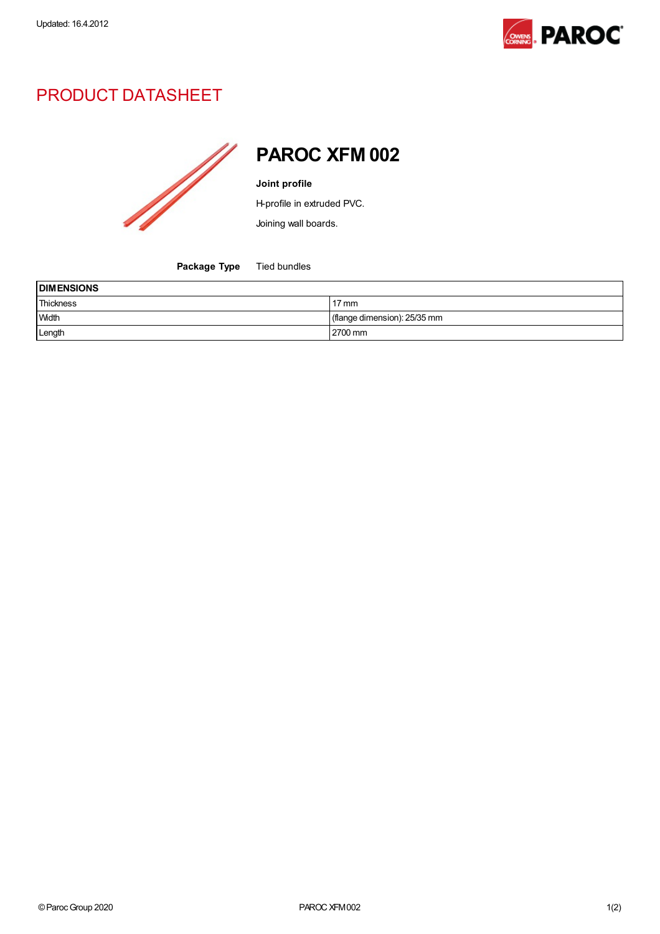

## PRODUCT DATASHEET



PAROC XFM 002

Joint profile

H-profile in extruded PVC.

Joining wall boards.

Package Type Tied bundles

| <b>DIMENSIONS</b> |                              |  |
|-------------------|------------------------------|--|
| Thickness         | $17 \text{ mm}$              |  |
| Width             | (flange dimension): 25/35 mm |  |
| Length            | 2700 mm                      |  |